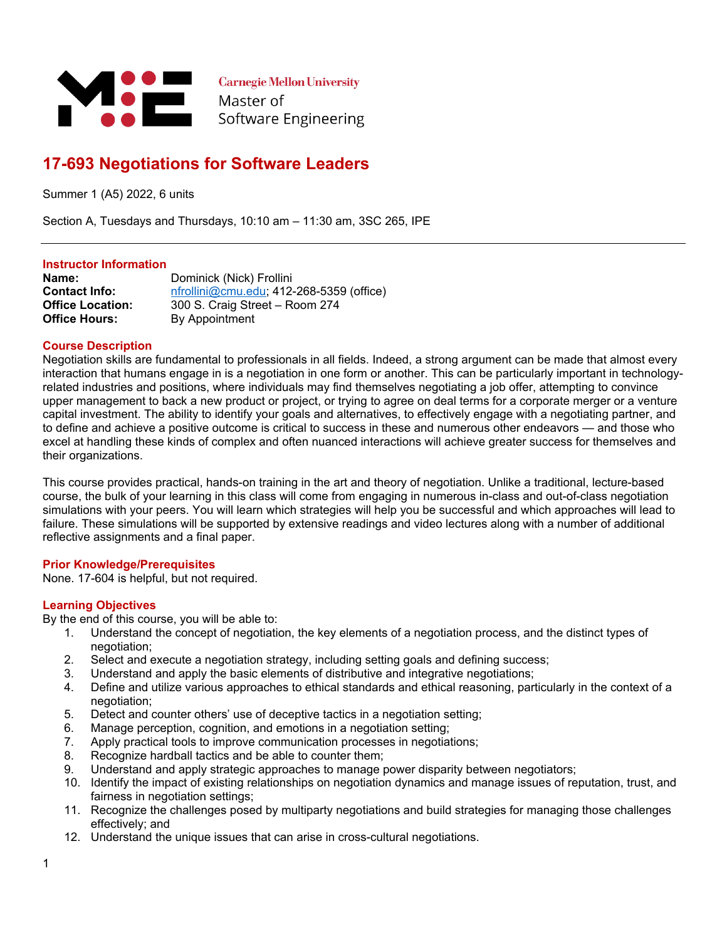

**Carnegie Mellon University** Master of Software Engineering

# **17-693 Negotiations for Software Leaders**

Summer 1 (A5) 2022, 6 units

Section A, Tuesdays and Thursdays, 10:10 am – 11:30 am, 3SC 265, IPE

#### **Instructor Information**

**Name:** Dominick (Nick) Frollini **Contact Info:** [nfrollini@cmu.edu](mailto:nfrollini@cmu.edu); 412-268-5359 (office) **Office Location:** 300 S. Craig Street – Room 274 **Office Hours:** By Appointment

## **Course Description**

Negotiation skills are fundamental to professionals in all fields. Indeed, a strong argument can be made that almost every interaction that humans engage in is a negotiation in one form or another. This can be particularly important in technologyrelated industries and positions, where individuals may find themselves negotiating a job offer, attempting to convince upper management to back a new product or project, or trying to agree on deal terms for a corporate merger or a venture capital investment. The ability to identify your goals and alternatives, to effectively engage with a negotiating partner, and to define and achieve a positive outcome is critical to success in these and numerous other endeavors — and those who excel at handling these kinds of complex and often nuanced interactions will achieve greater success for themselves and their organizations.

This course provides practical, hands-on training in the art and theory of negotiation. Unlike a traditional, lecture-based course, the bulk of your learning in this class will come from engaging in numerous in-class and out-of-class negotiation simulations with your peers. You will learn which strategies will help you be successful and which approaches will lead to failure. These simulations will be supported by extensive readings and video lectures along with a number of additional reflective assignments and a final paper.

#### **Prior Knowledge/Prerequisites**

None. 17-604 is helpful, but not required.

#### **Learning Objectives**

By the end of this course, you will be able to:

- 1. Understand the concept of negotiation, the key elements of a negotiation process, and the distinct types of negotiation;
- 2. Select and execute a negotiation strategy, including setting goals and defining success;
- 3. Understand and apply the basic elements of distributive and integrative negotiations;
- 4. Define and utilize various approaches to ethical standards and ethical reasoning, particularly in the context of a negotiation;
- 5. Detect and counter others' use of deceptive tactics in a negotiation setting;
- 6. Manage perception, cognition, and emotions in a negotiation setting;
- 7. Apply practical tools to improve communication processes in negotiations;
- 8. Recognize hardball tactics and be able to counter them;
- 9. Understand and apply strategic approaches to manage power disparity between negotiators;
- 10. Identify the impact of existing relationships on negotiation dynamics and manage issues of reputation, trust, and fairness in negotiation settings;
- 11. Recognize the challenges posed by multiparty negotiations and build strategies for managing those challenges effectively; and
- 12. Understand the unique issues that can arise in cross-cultural negotiations.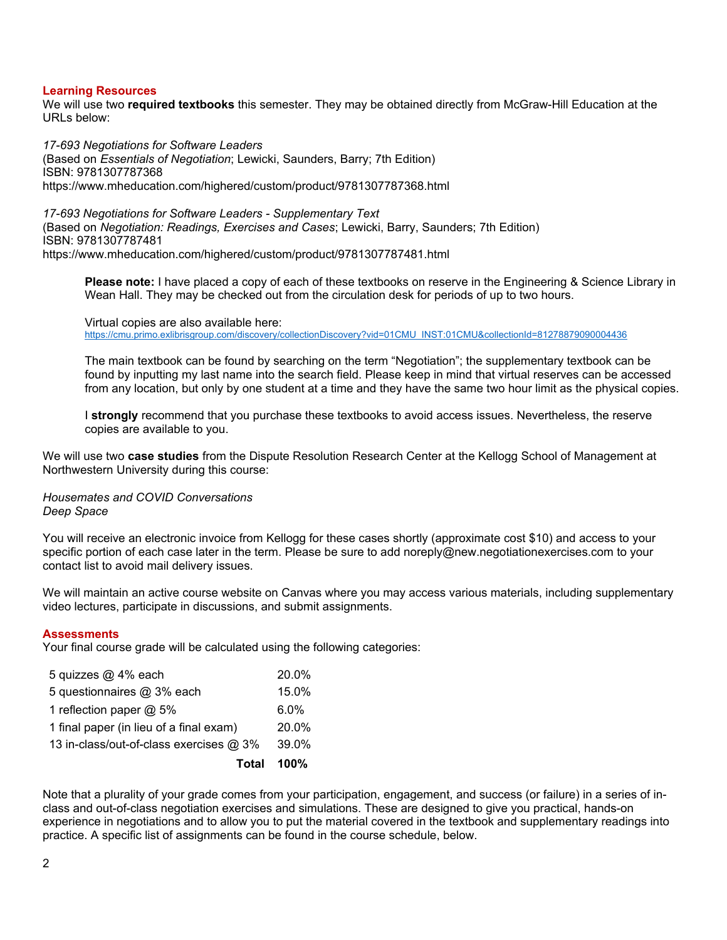#### **Learning Resources**

We will use two **required textbooks** this semester. They may be obtained directly from McGraw-Hill Education at the URLs below:

*17-693 Negotiations for Software Leaders*

(Based on *Essentials of Negotiation*; Lewicki, Saunders, Barry; 7th Edition) ISBN: 9781307787368 https://www.mheducation.com/highered/custom/product/9781307787368.html

*17-693 Negotiations for Software Leaders - Supplementary Text* (Based on *Negotiation: Readings, Exercises and Cases*; Lewicki, Barry, Saunders; 7th Edition) ISBN: 9781307787481 https://www.mheducation.com/highered/custom/product/9781307787481.html

**Please note:** I have placed a copy of each of these textbooks on reserve in the Engineering & Science Library in Wean Hall. They may be checked out from the circulation desk for periods of up to two hours.

Virtual copies are also available here: [https://cmu.primo.exlibrisgroup.com/discovery/collectionDiscovery?vid=01CMU\\_INST:01CMU&collectionId=81278879090004436](https://cmu.primo.exlibrisgroup.com/discovery/collectionDiscovery?vid=01CMU_INST:01CMU&collectionId=81278879090004436)

The main textbook can be found by searching on the term "Negotiation"; the supplementary textbook can be found by inputting my last name into the search field. Please keep in mind that virtual reserves can be accessed from any location, but only by one student at a time and they have the same two hour limit as the physical copies.

I **strongly** recommend that you purchase these textbooks to avoid access issues. Nevertheless, the reserve copies are available to you.

We will use two **case studies** from the Dispute Resolution Research Center at the Kellogg School of Management at Northwestern University during this course:

*Housemates and COVID Conversations Deep Space*

You will receive an electronic invoice from Kellogg for these cases shortly (approximate cost \$10) and access to your specific portion of each case later in the term. Please be sure to add noreply@new.negotiationexercises.com to your contact list to avoid mail delivery issues.

We will maintain an active course website on Canvas where you may access various materials, including supplementary video lectures, participate in discussions, and submit assignments.

#### **Assessments**

Your final course grade will be calculated using the following categories:

| 5 quizzes @ 4% each                     | 20.0%   |
|-----------------------------------------|---------|
| 5 questionnaires @ 3% each              | 15.0%   |
| 1 reflection paper @ 5%                 | $6.0\%$ |
| 1 final paper (in lieu of a final exam) | 20.0%   |
| 13 in-class/out-of-class exercises @ 3% | 39.0%   |
| <b>Total</b>                            | $100\%$ |

Note that a plurality of your grade comes from your participation, engagement, and success (or failure) in a series of inclass and out-of-class negotiation exercises and simulations. These are designed to give you practical, hands-on experience in negotiations and to allow you to put the material covered in the textbook and supplementary readings into practice. A specific list of assignments can be found in the course schedule, below.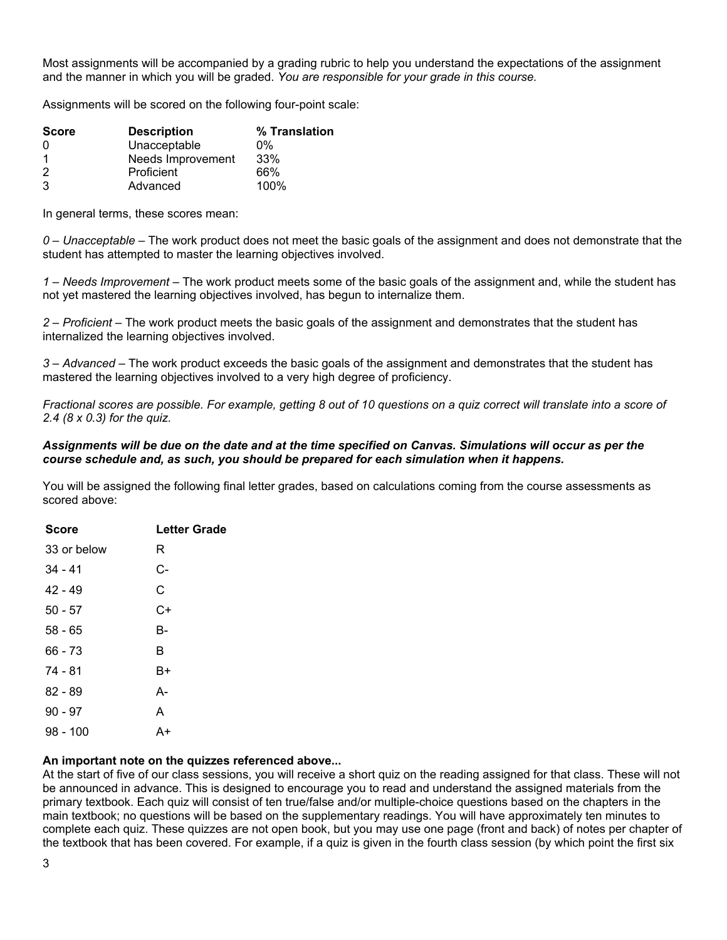Most assignments will be accompanied by a grading rubric to help you understand the expectations of the assignment and the manner in which you will be graded. *You are responsible for your grade in this course.*

Assignments will be scored on the following four-point scale:

| <b>Score</b> | <b>Description</b> | % Translation |
|--------------|--------------------|---------------|
| 0            | Unacceptable       | $0\%$         |
|              | Needs Improvement  | 33%           |
| 2            | Proficient         | 66%           |
| 3            | Advanced           | 100%          |

In general terms, these scores mean:

*0 – Unacceptable* – The work product does not meet the basic goals of the assignment and does not demonstrate that the student has attempted to master the learning objectives involved.

*1 – Needs Improvement* – The work product meets some of the basic goals of the assignment and, while the student has not yet mastered the learning objectives involved, has begun to internalize them.

*2 – Proficient* – The work product meets the basic goals of the assignment and demonstrates that the student has internalized the learning objectives involved.

*3 – Advanced* – The work product exceeds the basic goals of the assignment and demonstrates that the student has mastered the learning objectives involved to a very high degree of proficiency.

*Fractional scores are possible. For example, getting 8 out of 10 questions on a quiz correct will translate into a score of 2.4 (8 x 0.3) for the quiz.*

#### *Assignments will be due on the date and at the time specified on Canvas. Simulations will occur as per the course schedule and, as such, you should be prepared for each simulation when it happens.*

You will be assigned the following final letter grades, based on calculations coming from the course assessments as scored above:

| <b>Score</b> | <b>Letter Grade</b> |
|--------------|---------------------|
| 33 or below  | R                   |
| $34 - 41$    | C-                  |
| $42 - 49$    | C                   |
| $50 - 57$    | C+                  |
| $58 - 65$    | В-                  |
| $66 - 73$    | в                   |
| 74 - 81      | B+                  |
| $82 - 89$    | А-                  |
| $90 - 97$    | А                   |
| $98 - 100$   |                     |

#### **An important note on the quizzes referenced above...**

At the start of five of our class sessions, you will receive a short quiz on the reading assigned for that class. These will not be announced in advance. This is designed to encourage you to read and understand the assigned materials from the primary textbook. Each quiz will consist of ten true/false and/or multiple-choice questions based on the chapters in the main textbook; no questions will be based on the supplementary readings. You will have approximately ten minutes to complete each quiz. These quizzes are not open book, but you may use one page (front and back) of notes per chapter of the textbook that has been covered. For example, if a quiz is given in the fourth class session (by which point the first six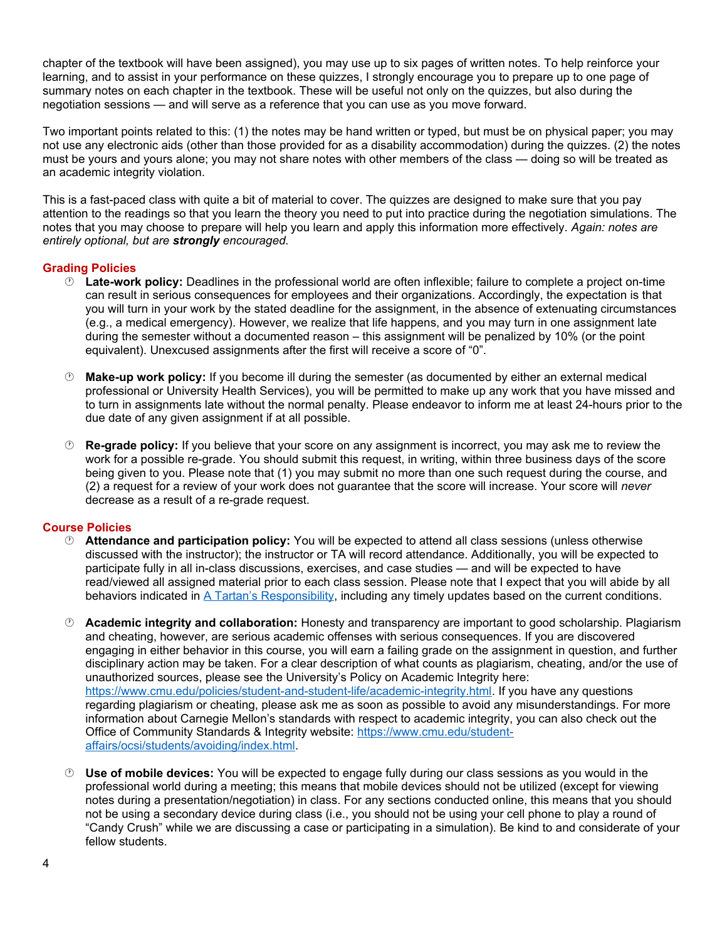chapter of the textbook will have been assigned), you may use up to six pages of written notes. To help reinforce your learning, and to assist in your performance on these quizzes, I strongly encourage you to prepare up to one page of summary notes on each chapter in the textbook. These will be useful not only on the quizzes, but also during the negotiation sessions — and will serve as a reference that you can use as you move forward.

Two important points related to this: (1) the notes may be hand written or typed, but must be on physical paper; you may not use any electronic aids (other than those provided for as a disability accommodation) during the quizzes. (2) the notes must be yours and yours alone; you may not share notes with other members of the class — doing so will be treated as an academic integrity violation.

This is a fast-paced class with quite a bit of material to cover. The quizzes are designed to make sure that you pay attention to the readings so that you learn the theory you need to put into practice during the negotiation simulations. The notes that you may choose to prepare will help you learn and apply this information more effectively. *Again: notes are entirely optional, but are strongly encouraged.*

## **Grading Policies**

- **Late-work policy:** Deadlines in the professional world are often inflexible; failure to complete a project on-time can result in serious consequences for employees and their organizations. Accordingly, the expectation is that you will turn in your work by the stated deadline for the assignment, in the absence of extenuating circumstances (e.g., a medical emergency). However, we realize that life happens, and you may turn in one assignment late during the semester without a documented reason – this assignment will be penalized by 10% (or the point equivalent). Unexcused assignments after the first will receive a score of "0".
- **Make-up work policy:** If you become ill during the semester (as documented by either an external medical professional or University Health Services), you will be permitted to make up any work that you have missed and to turn in assignments late without the normal penalty. Please endeavor to inform me at least 24-hours prior to the due date of any given assignment if at all possible.
- **Re-grade policy:** If you believe that your score on any assignment is incorrect, you may ask me to review the work for a possible re-grade. You should submit this request, in writing, within three business days of the score being given to you. Please note that (1) you may submit no more than one such request during the course, and (2) a request for a review of your work does not guarantee that the score will increase. Your score will *never* decrease as a result of a re-grade request.

#### **Course Policies**

- **Attendance and participation policy:** You will be expected to attend all class sessions (unless otherwise discussed with the instructor); the instructor or TA will record attendance. Additionally, you will be expected to participate fully in all in-class discussions, exercises, and case studies — and will be expected to have read/viewed all assigned material prior to each class session. Please note that I expect that you will abide by all behaviors indicated in [A Tartan's Responsibility,](https://www.cmu.edu/coronavirus/students/tartans-responsibility.html) including any timely updates based on the current conditions.
- **Academic integrity and collaboration:** Honesty and transparency are important to good scholarship. Plagiarism and cheating, however, are serious academic offenses with serious consequences. If you are discovered engaging in either behavior in this course, you will earn a failing grade on the assignment in question, and further disciplinary action may be taken. For a clear description of what counts as plagiarism, cheating, and/or the use of unauthorized sources, please see the University's Policy on Academic Integrity here: <https://www.cmu.edu/policies/student-and-student-life/academic-integrity.html>. If you have any questions regarding plagiarism or cheating, please ask me as soon as possible to avoid any misunderstandings. For more information about Carnegie Mellon's standards with respect to academic integrity, you can also check out the Office of Community Standards & Integrity website: [https://www.cmu.edu/student](https://www.cmu.edu/student-affairs/ocsi/students/avoiding/index.html)[affairs/ocsi/students/avoiding/index.html.](https://www.cmu.edu/student-affairs/ocsi/students/avoiding/index.html)
- **Use of mobile devices:** You will be expected to engage fully during our class sessions as you would in the professional world during a meeting; this means that mobile devices should not be utilized (except for viewing notes during a presentation/negotiation) in class. For any sections conducted online, this means that you should not be using a secondary device during class (i.e., you should not be using your cell phone to play a round of "Candy Crush" while we are discussing a case or participating in a simulation). Be kind to and considerate of your fellow students.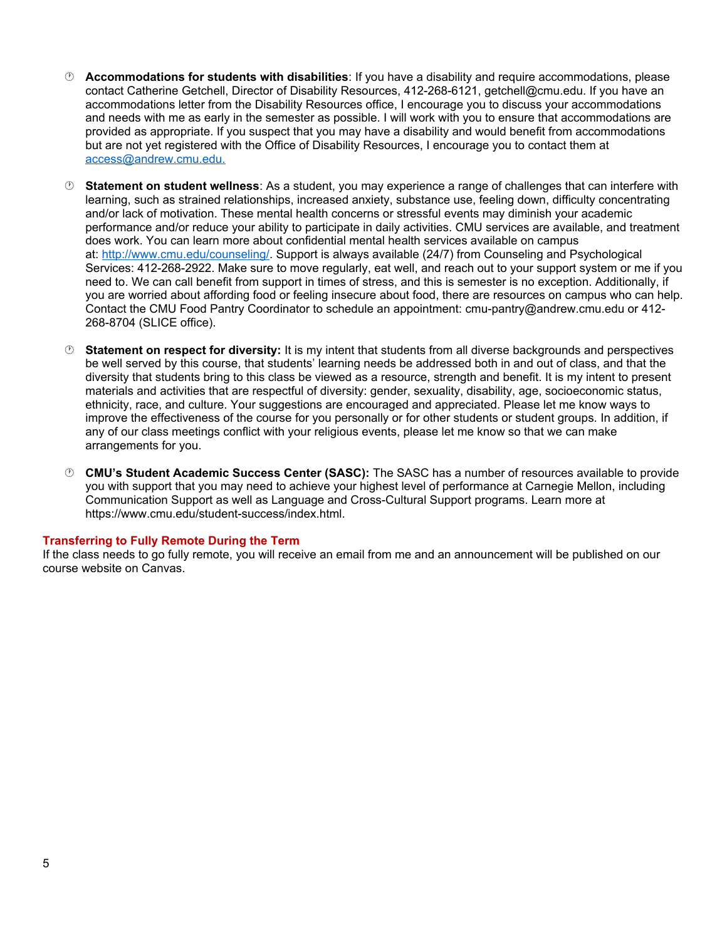- **Accommodations for students with disabilities**: If you have a disability and require accommodations, please contact Catherine Getchell, Director of Disability Resources, 412-268-6121, getchell@cmu.edu. If you have an accommodations letter from the Disability Resources office, I encourage you to discuss your accommodations and needs with me as early in the semester as possible. I will work with you to ensure that accommodations are provided as appropriate. If you suspect that you may have a disability and would benefit from accommodations but are not yet registered with the Office of Disability Resources, I encourage you to contact them at [access@andrew.cmu.edu.](mailto:access@andrew.cmu.edu.)
- **Statement on student wellness**: As a student, you may experience a range of challenges that can interfere with learning, such as strained relationships, increased anxiety, substance use, feeling down, difficulty concentrating and/or lack of motivation. These mental health concerns or stressful events may diminish your academic performance and/or reduce your ability to participate in daily activities. CMU services are available, and treatment does work. You can learn more about confidential mental health services available on campus at: <http://www.cmu.edu/counseling/>. Support is always available (24/7) from Counseling and Psychological Services: 412-268-2922. Make sure to move regularly, eat well, and reach out to your support system or me if you need to. We can call benefit from support in times of stress, and this is semester is no exception. Additionally, if you are worried about affording food or feeling insecure about food, there are resources on campus who can help. Contact the CMU Food Pantry Coordinator to schedule an appointment: cmu-pantry@andrew.cmu.edu or 412- 268-8704 (SLICE office).
- **Statement on respect for diversity:** It is my intent that students from all diverse backgrounds and perspectives be well served by this course, that students' learning needs be addressed both in and out of class, and that the diversity that students bring to this class be viewed as a resource, strength and benefit. It is my intent to present materials and activities that are respectful of diversity: gender, sexuality, disability, age, socioeconomic status, ethnicity, race, and culture. Your suggestions are encouraged and appreciated. Please let me know ways to improve the effectiveness of the course for you personally or for other students or student groups. In addition, if any of our class meetings conflict with your religious events, please let me know so that we can make arrangements for you.
- **CMU's Student Academic Success Center (SASC):** The SASC has a number of resources available to provide you with support that you may need to achieve your highest level of performance at Carnegie Mellon, including Communication Support as well as Language and Cross-Cultural Support programs. Learn more at https://www.cmu.edu/student-success/index.html.

#### **Transferring to Fully Remote During the Term**

If the class needs to go fully remote, you will receive an email from me and an announcement will be published on our course website on Canvas.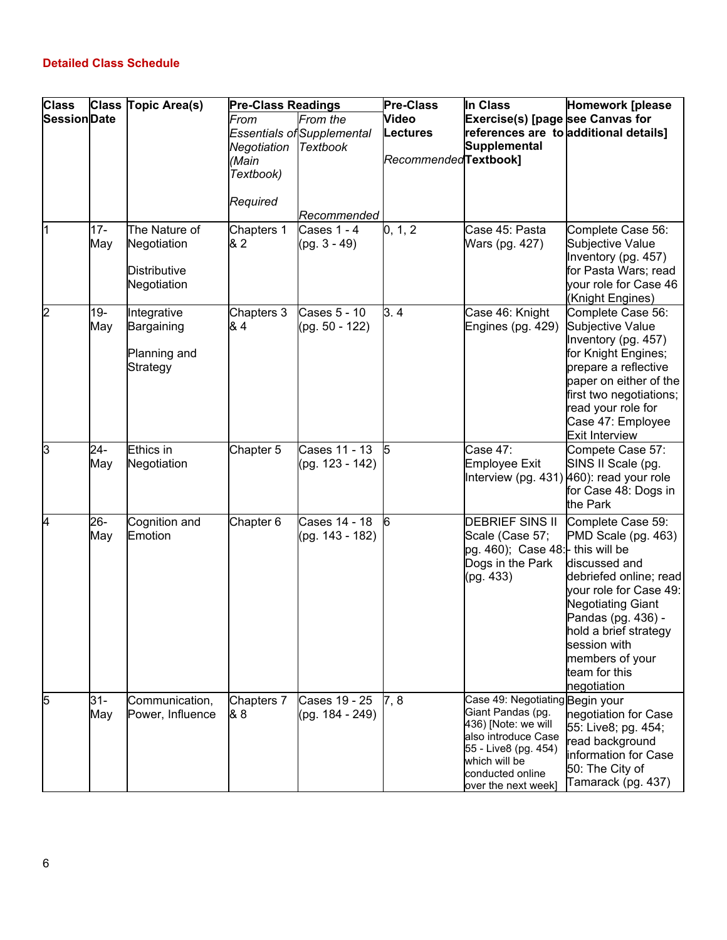# **Detailed Class Schedule**

| <b>Class</b>        |        | Class Topic Area(s) | <b>Pre-Class Readings</b> |                                   | <b>Pre-Class</b>      | In Class                                   | <b>Homework [please</b>                     |
|---------------------|--------|---------------------|---------------------------|-----------------------------------|-----------------------|--------------------------------------------|---------------------------------------------|
| <b>Session</b> Date |        |                     | From                      | From the                          | Video                 | Exercise(s) [page see Canvas for           |                                             |
|                     |        |                     |                           | <b>Essentials of Supplemental</b> | Lectures              |                                            | references are to additional details]       |
|                     |        |                     | Negotiation               | <b>Textbook</b>                   |                       | Supplemental                               |                                             |
|                     |        |                     | (Main                     |                                   | RecommendedTextbook1  |                                            |                                             |
|                     |        |                     | Textbook)                 |                                   |                       |                                            |                                             |
|                     |        |                     | Required                  |                                   |                       |                                            |                                             |
|                     |        |                     |                           | Recommended                       |                       |                                            |                                             |
| 11                  | 17-    | The Nature of       | Chapters 1                | Cases 1 - 4                       | $\vert 0, 1, 2 \vert$ | Case 45: Pasta                             | Complete Case 56:                           |
|                     | May    | Negotiation         | & 2                       | (pg. 3 - 49)                      |                       | Wars (pg. 427)                             | Subjective Value                            |
|                     |        | Distributive        |                           |                                   |                       |                                            | Inventory (pg. 457)<br>for Pasta Wars; read |
|                     |        | Negotiation         |                           |                                   |                       |                                            | your role for Case 46                       |
|                     |        |                     |                           |                                   |                       |                                            | (Knight Engines)                            |
| 2                   | $19 -$ | Integrative         | Chapters 3                | Cases 5 - 10                      | 3.4                   | Case 46: Knight                            | Complete Case 56:                           |
|                     | May    | Bargaining          | & 4                       | (pg. 50 - 122)                    |                       | Engines (pg. 429)                          | Subjective Value                            |
|                     |        |                     |                           |                                   |                       |                                            | Inventory (pg. 457)                         |
|                     |        | Planning and        |                           |                                   |                       |                                            | for Knight Engines;                         |
|                     |        | Strategy            |                           |                                   |                       |                                            | prepare a reflective                        |
|                     |        |                     |                           |                                   |                       |                                            | paper on either of the                      |
|                     |        |                     |                           |                                   |                       |                                            | first two negotiations;                     |
|                     |        |                     |                           |                                   |                       |                                            | read your role for<br>Case 47: Employee     |
|                     |        |                     |                           |                                   |                       |                                            | Exit Interview                              |
| 3                   | 24-    | Ethics in           | Chapter 5                 | Cases 11 - 13                     | $\sqrt{5}$            | Case 47:                                   | Compete Case 57:                            |
|                     | May    | Negotiation         |                           | (pg. 123 - 142)                   |                       | Employee Exit                              | SINS II Scale (pg.                          |
|                     |        |                     |                           |                                   |                       |                                            | Interview (pg. 431) 460): read your role    |
|                     |        |                     |                           |                                   |                       |                                            | for Case 48: Dogs in                        |
|                     |        |                     |                           |                                   |                       |                                            | the Park                                    |
| 4                   | 26-    | Cognition and       | Chapter 6                 | Cases 14 - 18                     | 6                     | <b>DEBRIEF SINS II</b>                     | Complete Case 59:                           |
|                     | May    | Emotion             |                           | (pg. 143 - 182)                   |                       | Scale (Case 57;                            | PMD Scale (pg. 463)                         |
|                     |        |                     |                           |                                   |                       | $pg. 460$ ; Case 48: $\vdash$ this will be |                                             |
|                     |        |                     |                           |                                   |                       | Dogs in the Park                           | discussed and                               |
|                     |        |                     |                           |                                   |                       | (pg. 433)                                  | debriefed online; read                      |
|                     |        |                     |                           |                                   |                       |                                            | vour role for Case 49:                      |
|                     |        |                     |                           |                                   |                       |                                            | Negotiating Giant<br>Pandas (pg. 436) -     |
|                     |        |                     |                           |                                   |                       |                                            | hold a brief strategy                       |
|                     |        |                     |                           |                                   |                       |                                            | session with                                |
|                     |        |                     |                           |                                   |                       |                                            | members of your                             |
|                     |        |                     |                           |                                   |                       |                                            | team for this                               |
|                     |        |                     |                           |                                   |                       |                                            | negotiation                                 |
| 5                   | 31-    | Communication,      | Chapters 7                | Cases 19 - 25                     | 7,8                   | Case 49: Negotiating Begin your            |                                             |
|                     | May    | Power, Influence    | 88                        | (pg. 184 - 249)                   |                       | Giant Pandas (pg.                          | negotiation for Case                        |
|                     |        |                     |                           |                                   |                       | 436) [Note: we will<br>also introduce Case | 55: Live8; pg. 454;                         |
|                     |        |                     |                           |                                   |                       | 55 - Live8 (pg. 454)                       | read background                             |
|                     |        |                     |                           |                                   |                       | which will be                              | information for Case                        |
|                     |        |                     |                           |                                   |                       | conducted online                           | 50: The City of<br>Tamarack (pg. 437)       |
|                     |        |                     |                           |                                   |                       | over the next week]                        |                                             |